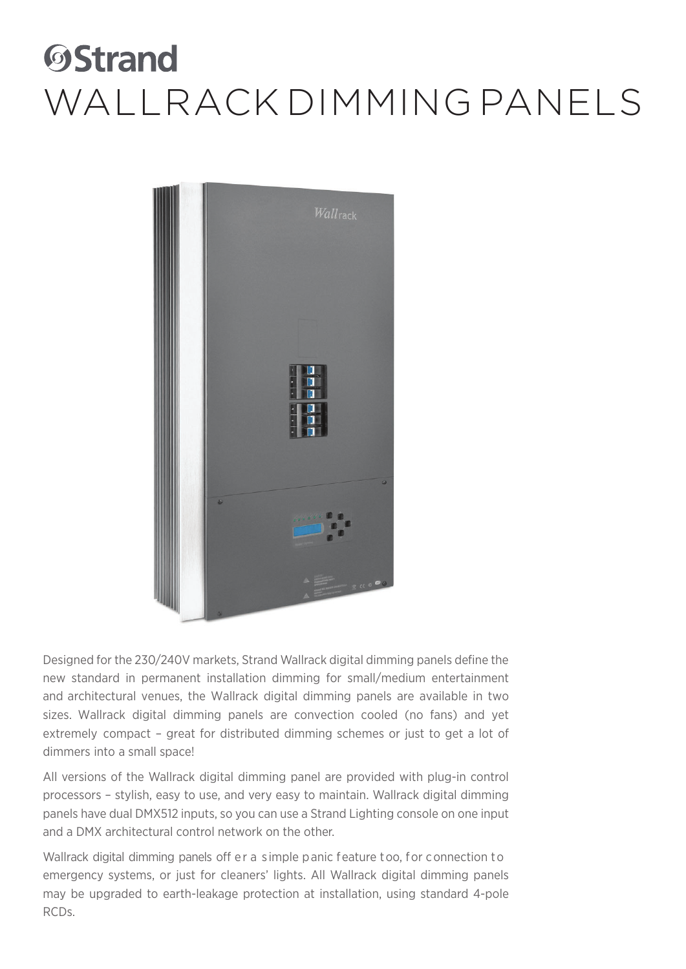

Designed for the 230/240V markets, Strand Wallrack digital dimming panels define the new standard in permanent installation dimming for small/medium entertainment and architectural venues, the Wallrack digital dimming panels are available in two sizes. Wallrack digital dimming panels are convection cooled (no fans) and yet extremely compact – great for distributed dimming schemes or just to get a lot of dimmers into a small space!

All versions of the Wallrack digital dimming panel are provided with plug-in control processors – stylish, easy to use, and very easy to maintain. Wallrack digital dimming panels have dual DMX512 inputs, so you can use a Strand Lighting console on one input and a DMX architectural control network on the other.

Wallrack digital dimming panels off er a simple panic feature too, for connection to emergency systems, or just for cleaners' lights. All Wallrack digital dimming panels may be upgraded to earth-leakage protection at installation, using standard 4-pole RCDs.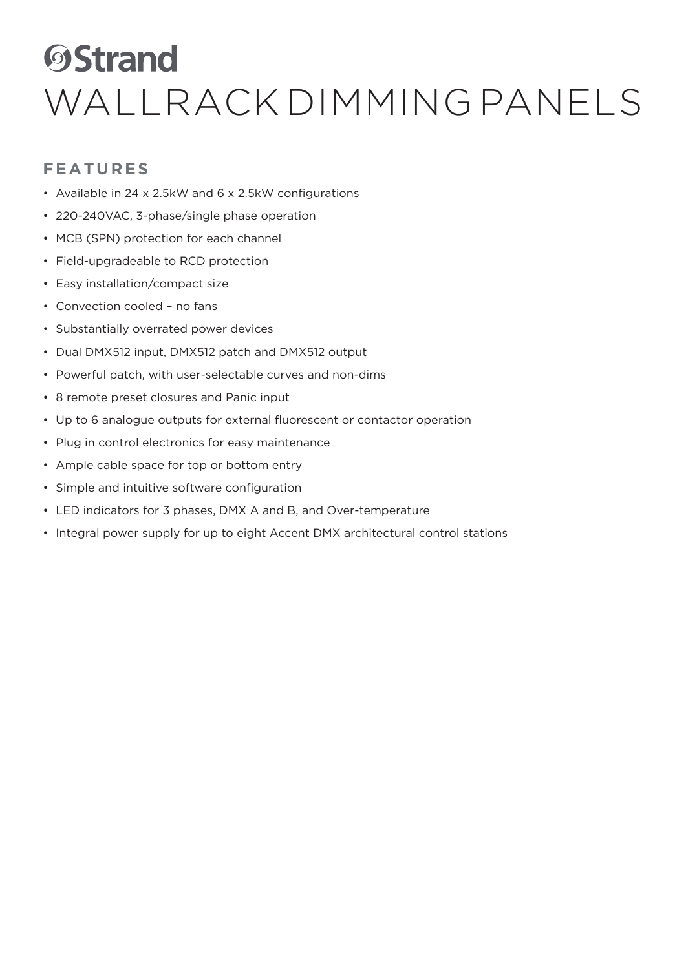#### **FEATURES**

- Available in 24 x 2.5kW and 6 x 2.5kW configurations
- 220-240VAC, 3-phase/single phase operation
- MCB (SPN) protection for each channel
- Field-upgradeable to RCD protection
- Easy installation/compact size
- Convection cooled no fans
- Substantially overrated power devices
- Dual DMX512 input, DMX512 patch and DMX512 output
- Powerful patch, with user-selectable curves and non-dims
- 8 remote preset closures and Panic input
- Up to 6 analogue outputs for external fluorescent or contactor operation
- Plug in control electronics for easy maintenance
- Ample cable space for top or bottom entry
- Simple and intuitive software configuration
- LED indicators for 3 phases, DMX A and B, and Over-temperature
- Integral power supply for up to eight Accent DMX architectural control stations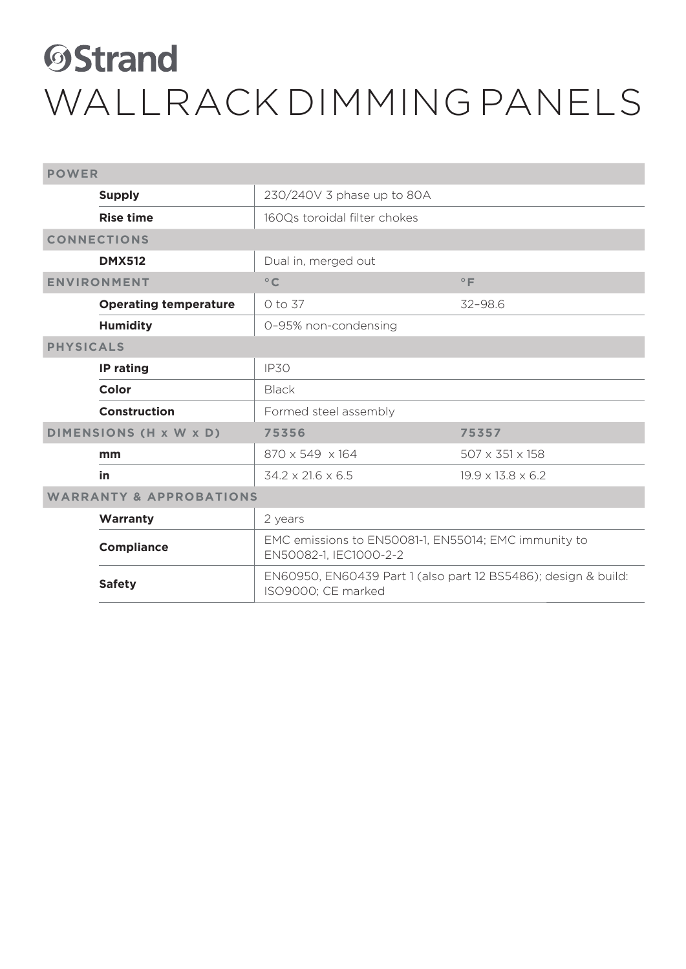| <b>POWER</b>                       |                              |                                                                                      |                               |  |
|------------------------------------|------------------------------|--------------------------------------------------------------------------------------|-------------------------------|--|
|                                    | <b>Supply</b>                | 230/240V 3 phase up to 80A                                                           |                               |  |
|                                    | <b>Rise time</b>             | 160Qs toroidal filter chokes                                                         |                               |  |
|                                    | <b>CONNECTIONS</b>           |                                                                                      |                               |  |
|                                    | <b>DMX512</b>                | Dual in, merged out                                                                  |                               |  |
| <b>ENVIRONMENT</b>                 |                              | $^{\circ}$ C                                                                         | $^{\circ}$ F                  |  |
|                                    | <b>Operating temperature</b> | 0 to 37                                                                              | $32 - 98.6$                   |  |
|                                    | <b>Humidity</b>              | 0-95% non-condensing                                                                 |                               |  |
| <b>PHYSICALS</b>                   |                              |                                                                                      |                               |  |
|                                    | IP rating                    | <b>IP30</b>                                                                          |                               |  |
|                                    | Color                        | <b>Black</b>                                                                         |                               |  |
|                                    | Construction                 | Formed steel assembly                                                                |                               |  |
| DIMENSIONS (H x W x D)             |                              | 75356                                                                                | 75357                         |  |
|                                    | mm                           | 870 x 549 x 164                                                                      | 507 x 351 x 158               |  |
|                                    | in                           | $34.2 \times 21.6 \times 6.5$                                                        | $19.9 \times 13.8 \times 6.2$ |  |
| <b>WARRANTY &amp; APPROBATIONS</b> |                              |                                                                                      |                               |  |
|                                    | Warranty                     | 2 years                                                                              |                               |  |
|                                    | <b>Compliance</b>            | EMC emissions to EN50081-1, EN55014; EMC immunity to<br>EN50082-1, IEC1000-2-2       |                               |  |
|                                    | <b>Safety</b>                | EN60950, EN60439 Part 1 (also part 12 BS5486); design & build:<br>ISO9000; CE marked |                               |  |